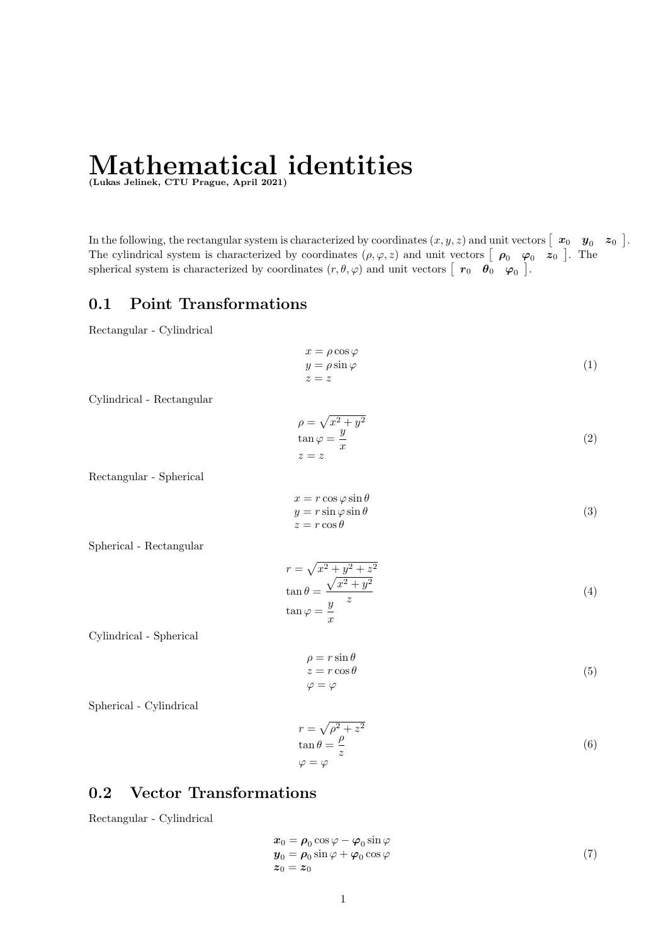# $\mathbf{Mathematical}_{\text{\tiny (Lukas Jelinek, CTU Prague, April 2021)}}\text{identities}$

In the following, the rectangular system is characterized by coordinates  $(x, y, z)$  and unit vectors  $\begin{bmatrix} x_0 & y_0 & z_0 \end{bmatrix}$ . The cylindrical system is characterized by coordinates  $(\rho, \varphi, z)$  and unit vectors  $\begin{bmatrix} \rho_0 & \varphi_0 & z_0 \end{bmatrix}$ . The spherical system is characterized by coordinates  $(r, \theta, \varphi)$  and unit vectors  $\begin{bmatrix} r_0 & \theta_0 & \varphi_0 \end{bmatrix}$ .

#### 0.1 Point Transformations

Rectangular - Cylindrical

$$
x = \rho \cos \varphi \n y = \rho \sin \varphi \n z = z
$$
\n(1)

Cylindrical - Rectangular

$$
\rho = \sqrt{x^2 + y^2} \n\tan \varphi = \frac{y}{x} \nz = z
$$
\n(2)

Rectangular - Spherical

$$
x = r \cos \varphi \sin \theta \n y = r \sin \varphi \sin \theta \n z = r \cos \theta
$$
\n(3)

Spherical - Rectangular

$$
r = \sqrt{x^2 + y^2 + z^2}
$$
  
\n
$$
\tan \theta = \frac{\sqrt{x^2 + y^2}}{z}
$$
  
\n
$$
\tan \varphi = \frac{y}{x}
$$
\n(4)

Cylindrical - Spherical

$$
\rho = r \sin \theta \n z = r \cos \theta \n \varphi = \varphi
$$
\n(5)

Spherical - Cylindrical

$$
r = \sqrt{\rho^2 + z^2}
$$
  
\n
$$
\tan \theta = \frac{\rho}{z}
$$
  
\n
$$
\varphi = \varphi
$$
\n(6)

#### 0.2 Vector Transformations

Rectangular - Cylindrical

$$
\begin{aligned} \n\boldsymbol{x}_0 &= \boldsymbol{\rho}_0 \cos \varphi - \boldsymbol{\varphi}_0 \sin \varphi \\ \n\boldsymbol{y}_0 &= \boldsymbol{\rho}_0 \sin \varphi + \boldsymbol{\varphi}_0 \cos \varphi \\ \n\boldsymbol{z}_0 &= \boldsymbol{z}_0 \n\end{aligned} \tag{7}
$$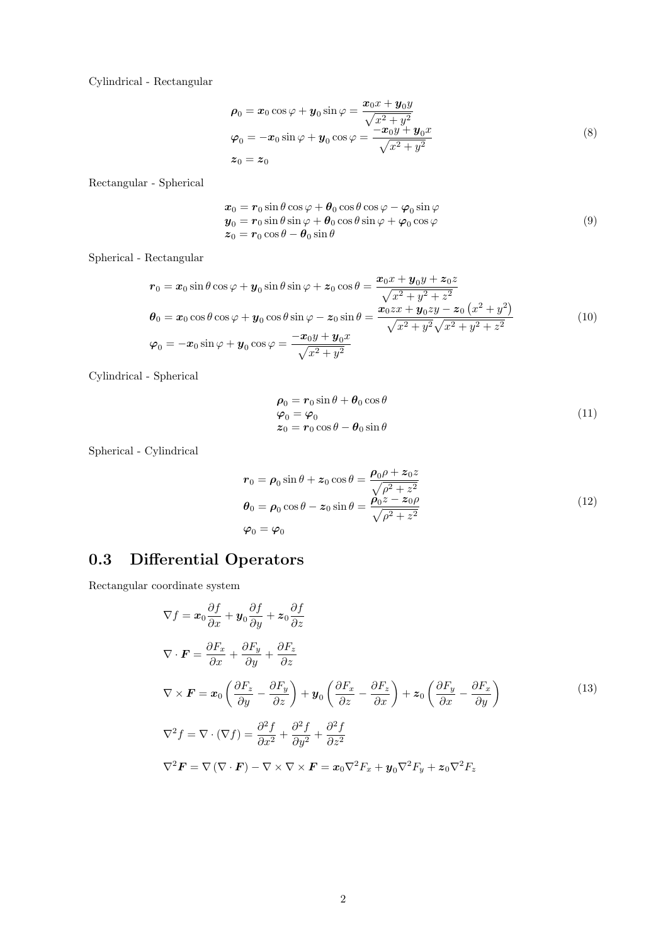Cylindrical - Rectangular

$$
\rho_0 = x_0 \cos \varphi + y_0 \sin \varphi = \frac{x_0 x + y_0 y}{\sqrt{x^2 + y^2}}
$$
  
\n
$$
\varphi_0 = -x_0 \sin \varphi + y_0 \cos \varphi = \frac{-x_0 y + y_0 x}{\sqrt{x^2 + y^2}}
$$
  
\n
$$
z_0 = z_0
$$
\n(8)

Rectangular - Spherical

$$
\begin{aligned}\n\boldsymbol{x}_0 &= \boldsymbol{r}_0 \sin \theta \cos \varphi + \boldsymbol{\theta}_0 \cos \theta \cos \varphi - \boldsymbol{\varphi}_0 \sin \varphi \\
\boldsymbol{y}_0 &= \boldsymbol{r}_0 \sin \theta \sin \varphi + \boldsymbol{\theta}_0 \cos \theta \sin \varphi + \boldsymbol{\varphi}_0 \cos \varphi \\
\boldsymbol{z}_0 &= \boldsymbol{r}_0 \cos \theta - \boldsymbol{\theta}_0 \sin \theta\n\end{aligned} \tag{9}
$$

Spherical - Rectangular

$$
r_0 = x_0 \sin \theta \cos \varphi + y_0 \sin \theta \sin \varphi + z_0 \cos \theta = \frac{x_0 x + y_0 y + z_0 z}{\sqrt{x^2 + y^2 + z^2}}
$$
  
\n
$$
\theta_0 = x_0 \cos \theta \cos \varphi + y_0 \cos \theta \sin \varphi - z_0 \sin \theta = \frac{x_0 z x + y_0 z y - z_0 (x^2 + y^2)}{\sqrt{x^2 + y^2} \sqrt{x^2 + y^2 + z^2}}
$$
  
\n
$$
\varphi_0 = -x_0 \sin \varphi + y_0 \cos \varphi = \frac{-x_0 y + y_0 x}{\sqrt{x^2 + y^2}}
$$
\n(10)

Cylindrical - Spherical

$$
\rho_0 = r_0 \sin \theta + \theta_0 \cos \theta \n\varphi_0 = \varphi_0 \nz_0 = r_0 \cos \theta - \theta_0 \sin \theta
$$
\n(11)

Spherical - Cylindrical

$$
r_0 = \rho_0 \sin \theta + z_0 \cos \theta = \frac{\rho_0 \rho + z_0 z}{\sqrt{\rho^2 + z^2}}
$$
  
\n
$$
\theta_0 = \rho_0 \cos \theta - z_0 \sin \theta = \frac{\rho_0 z - z_0 \rho}{\sqrt{\rho^2 + z^2}}
$$
  
\n
$$
\varphi_0 = \varphi_0
$$
\n(12)

## 0.3 Differential Operators

Rectangular coordinate system

$$
\nabla f = \mathbf{x}_0 \frac{\partial f}{\partial x} + \mathbf{y}_0 \frac{\partial f}{\partial y} + \mathbf{z}_0 \frac{\partial f}{\partial z}
$$
  
\n
$$
\nabla \cdot \mathbf{F} = \frac{\partial F_x}{\partial x} + \frac{\partial F_y}{\partial y} + \frac{\partial F_z}{\partial z}
$$
  
\n
$$
\nabla \times \mathbf{F} = \mathbf{x}_0 \left( \frac{\partial F_z}{\partial y} - \frac{\partial F_y}{\partial z} \right) + \mathbf{y}_0 \left( \frac{\partial F_x}{\partial z} - \frac{\partial F_z}{\partial x} \right) + \mathbf{z}_0 \left( \frac{\partial F_y}{\partial x} - \frac{\partial F_x}{\partial y} \right)
$$
  
\n
$$
\nabla^2 f = \nabla \cdot (\nabla f) = \frac{\partial^2 f}{\partial x^2} + \frac{\partial^2 f}{\partial y^2} + \frac{\partial^2 f}{\partial z^2}
$$
  
\n
$$
\nabla^2 \mathbf{F} = \nabla (\nabla \cdot \mathbf{F}) - \nabla \times \nabla \times \mathbf{F} = \mathbf{x}_0 \nabla^2 F_x + \mathbf{y}_0 \nabla^2 F_y + \mathbf{z}_0 \nabla^2 F_z
$$
\n(13)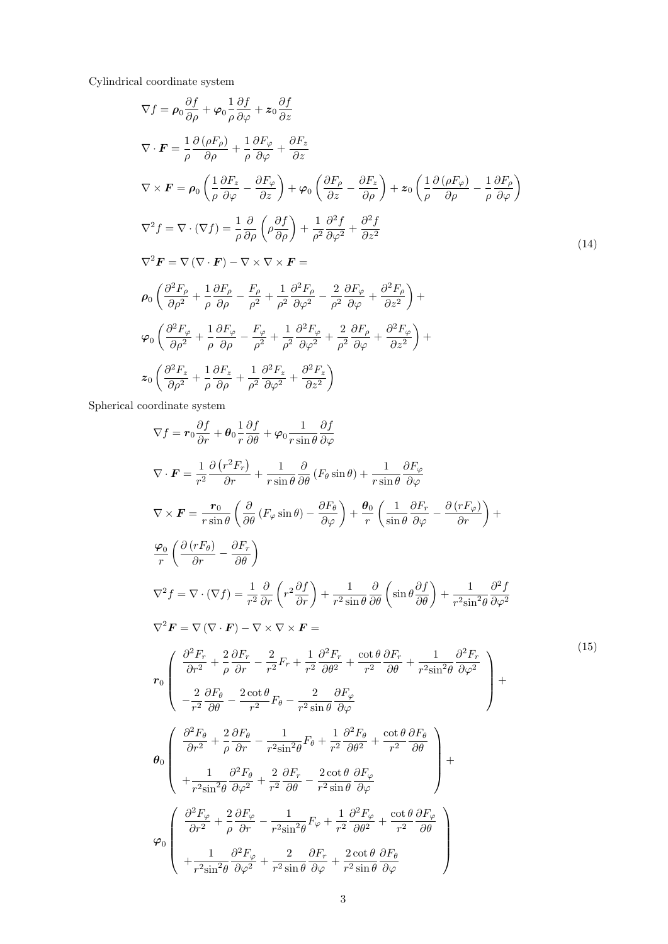Cylindrical coordinate system

$$
\nabla f = \rho_0 \frac{\partial f}{\partial \rho} + \varphi_0 \frac{1}{\rho} \frac{\partial f}{\partial \varphi} + z_0 \frac{\partial f}{\partial z}
$$
  
\n
$$
\nabla \cdot \mathbf{F} = \frac{1}{\rho} \frac{\partial (\rho F_{\rho})}{\partial \rho} + \frac{1}{\rho} \frac{\partial F_{\varphi}}{\partial \varphi} + \frac{\partial F_{z}}{\partial z}
$$
  
\n
$$
\nabla \times \mathbf{F} = \rho_0 \left( \frac{1}{\rho} \frac{\partial F_{z}}{\partial \varphi} - \frac{\partial F_{\varphi}}{\partial z} \right) + \varphi_0 \left( \frac{\partial F_{\rho}}{\partial z} - \frac{\partial F_{z}}{\partial \rho} \right) + z_0 \left( \frac{1}{\rho} \frac{\partial (\rho F_{\varphi})}{\partial \rho} - \frac{1}{\rho} \frac{\partial F_{\rho}}{\partial \varphi} \right)
$$
  
\n
$$
\nabla^2 f = \nabla \cdot (\nabla f) = \frac{1}{\rho} \frac{\partial}{\partial \rho} \left( \rho \frac{\partial f}{\partial \rho} \right) + \frac{1}{\rho^2} \frac{\partial^2 f}{\partial \varphi^2} + \frac{\partial^2 f}{\partial z^2}
$$
  
\n
$$
\nabla^2 \mathbf{F} = \nabla (\nabla \cdot \mathbf{F}) - \nabla \times \nabla \times \mathbf{F} =
$$
  
\n
$$
\rho_0 \left( \frac{\partial^2 F_{\rho}}{\partial \rho^2} + \frac{1}{\rho} \frac{\partial F_{\rho}}{\partial \rho} - \frac{F_{\rho}}{\rho^2} + \frac{1}{\rho^2} \frac{\partial^2 F_{\rho}}{\partial \varphi^2} - \frac{2}{\rho^2} \frac{\partial F_{\varphi}}{\partial \varphi} + \frac{\partial^2 F_{\rho}}{\partial z^2} \right) +
$$
  
\n
$$
\varphi_0 \left( \frac{\partial^2 F_{\varphi}}{\partial \rho^2} + \frac{1}{\rho} \frac{\partial F_{\varphi}}{\partial \rho} - \frac{F_{\varphi}}{\rho^2} + \frac{1}{\rho^2} \frac{\partial^2 F_{\varphi}}{\partial \varphi^2} + \frac{2}{\rho^2} \frac{\partial
$$

Spherical coordinate system

$$
\nabla f = r_0 \frac{\partial f}{\partial r} + \theta_0 \frac{1}{r} \frac{\partial f}{\partial \theta} + \varphi_0 \frac{1}{r \sin \theta} \frac{\partial f}{\partial \varphi}
$$
\n
$$
\nabla \cdot \mathbf{F} = \frac{1}{r^2} \frac{\partial (r^2 F_r)}{\partial r} + \frac{1}{r \sin \theta} \frac{\partial}{\partial \theta} (F_\theta \sin \theta) + \frac{1}{r \sin \theta} \frac{\partial F_\varphi}{\partial \varphi}
$$
\n
$$
\nabla \times \mathbf{F} = \frac{r_0}{r \sin \theta} \left( \frac{\partial}{\partial \theta} (F_\varphi \sin \theta) - \frac{\partial F_\theta}{\partial \varphi} \right) + \frac{\theta_0}{r} \left( \frac{1}{\sin \theta} \frac{\partial F_r}{\partial \varphi} - \frac{\partial (r F_\varphi)}{\partial r} \right) + \frac{\varphi_0}{r} \left( \frac{\partial (r F_\theta)}{\partial r} - \frac{\partial F_r}{\partial \theta} \right)
$$
\n
$$
\nabla^2 f = \nabla \cdot (\nabla f) = \frac{1}{r^2} \frac{\partial}{\partial r} \left( r^2 \frac{\partial f}{\partial r} \right) + \frac{1}{r^2 \sin \theta} \frac{\partial}{\partial \theta} \left( \sin \theta \frac{\partial f}{\partial \theta} \right) + \frac{1}{r^2 \sin^2 \theta} \frac{\partial^2 f}{\partial \varphi^2}
$$
\n
$$
\nabla^2 \mathbf{F} = \nabla (\nabla \cdot \mathbf{F}) - \nabla \times \nabla \times \mathbf{F} =
$$
\n
$$
r_0 \left( \frac{\partial^2 F_r}{\partial r^2} + \frac{2}{\rho} \frac{\partial F_r}{\partial r} - \frac{2}{r^2} F_r + \frac{1}{r^2} \frac{\partial^2 F_r}{\partial \theta^2} + \frac{\cot \theta}{r^2} \frac{\partial F_r}{\partial \theta} + \frac{1}{r^2 \sin^2 \theta} \frac{\partial^2 F_r}{\partial \varphi^2} \right) + \frac{2}{r^2} \frac{\partial F_\theta}{\partial \theta} - \frac{2 \cot \theta}{r^2} F_\theta - \frac{2}{r^2 \sin \theta} \frac{\partial F_\varphi}{
$$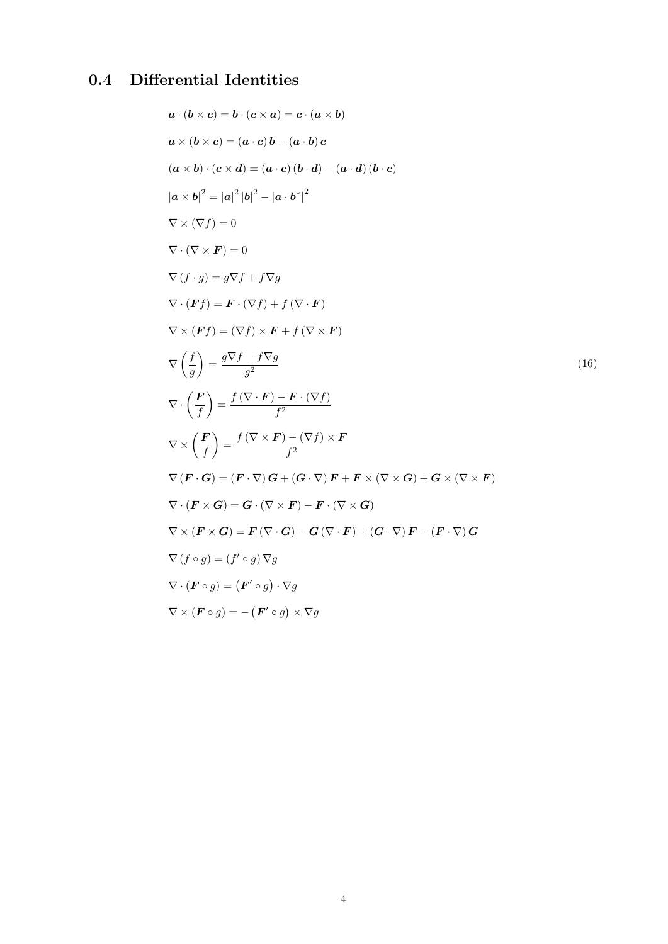## 0.4 Differential Identities

$$
a \cdot (b \times c) = b \cdot (c \times a) = c \cdot (a \times b)
$$
  
\n
$$
a \times (b \times c) = (a \cdot c)b - (a \cdot b)c
$$
  
\n
$$
(a \times b) \cdot (c \times d) = (a \cdot c)(b \cdot d) - (a \cdot d)(b \cdot c)
$$
  
\n
$$
|a \times b|^2 = |a|^2 |b|^2 - |a \cdot b^*|^2
$$
  
\n
$$
\nabla \times (\nabla f) = 0
$$
  
\n
$$
\nabla \cdot (\nabla \times \mathbf{F}) = 0
$$
  
\n
$$
\nabla (f \cdot g) = g \nabla f + f \nabla g
$$
  
\n
$$
\nabla \cdot (\mathbf{F}f) = \mathbf{F} \cdot (\nabla f) + f (\nabla \cdot \mathbf{F})
$$
  
\n
$$
\nabla \times (\mathbf{F}f) = (\nabla f) \times \mathbf{F} + f (\nabla \times \mathbf{F})
$$
  
\n
$$
\nabla \frac{f}{g} = \frac{g \nabla f - f \nabla g}{g^2}
$$
  
\n
$$
\nabla \cdot \left(\frac{\mathbf{F}}{f}\right) = \frac{f (\nabla \cdot \mathbf{F}) - \mathbf{F} \cdot (\nabla f)}{f^2}
$$
  
\n
$$
\nabla (\mathbf{F} \cdot \mathbf{G}) = (\mathbf{F} \cdot \nabla) \mathbf{G} + (\mathbf{G} \cdot \nabla) \mathbf{F} + \mathbf{F} \times (\nabla \times \mathbf{G}) + \mathbf{G} \times (\nabla \times \mathbf{F})
$$
  
\n
$$
\nabla \cdot (\mathbf{F} \times \mathbf{G}) = \mathbf{G} \cdot (\nabla \times \mathbf{F}) - \mathbf{F} \cdot (\nabla \times \mathbf{G})
$$
  
\n
$$
\nabla \times (\mathbf{F} \times \mathbf{G}) = \mathbf{F} (\nabla \cdot \mathbf{G}) - \mathbf{G} (\nabla \cdot \mathbf{F}) + (\mathbf{G} \cdot \nabla) \mathbf{F} - (\mathbf{F} \cdot \nabla) \mathbf{G}
$$
  
\n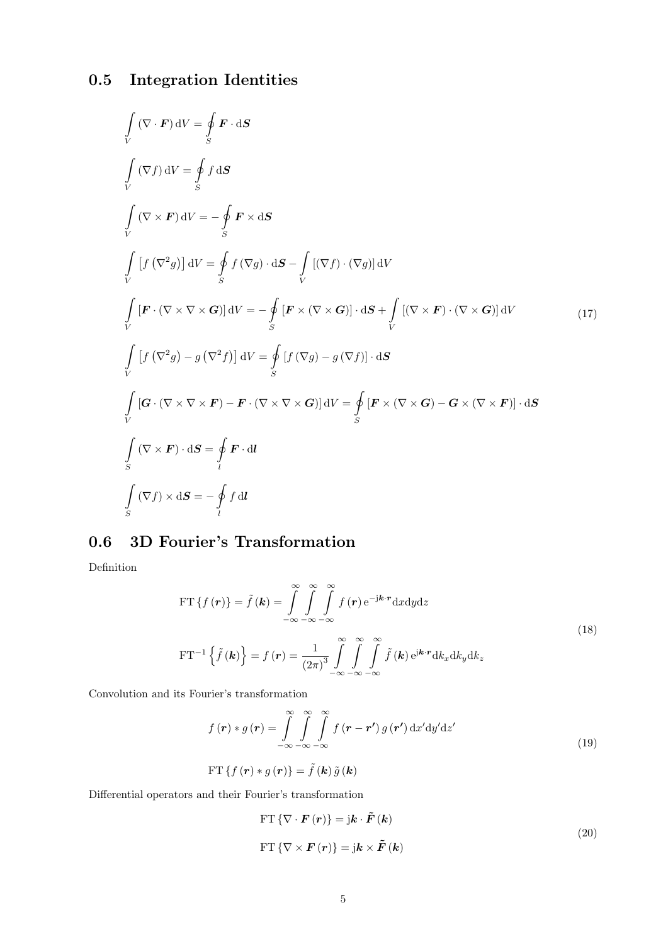0.5 Integration Identities

$$
\int_{V} (\nabla \cdot \mathbf{F}) dV = \oint_{S} \mathbf{F} \cdot d\mathbf{S}
$$
\n
$$
\int_{V} (\nabla f) dV = \oint_{S} f d\mathbf{S}
$$
\n
$$
\int_{V} (\nabla \times \mathbf{F}) dV = -\oint_{S} \mathbf{F} \times d\mathbf{S}
$$
\n
$$
\int_{V} [f (\nabla^{2} g)] dV = \oint_{S} f (\nabla g) \cdot d\mathbf{S} - \int_{V} [(\nabla f) \cdot (\nabla g)] dV
$$
\n
$$
\int_{V} [\mathbf{F} \cdot (\nabla \times \nabla \times \mathbf{G})] dV = -\oint_{S} [\mathbf{F} \times (\nabla \times \mathbf{G})] \cdot d\mathbf{S} + \int_{V} [(\nabla \times \mathbf{F}) \cdot (\nabla \times \mathbf{G})] dV
$$
\n
$$
\int_{V} [f (\nabla^{2} g) - g (\nabla^{2} f)] dV = \oint_{S} [f (\nabla g) - g (\nabla f)] \cdot d\mathbf{S}
$$
\n
$$
\int_{V} [G \cdot (\nabla \times \nabla \times \mathbf{F}) - \mathbf{F} \cdot (\nabla \times \nabla \times \mathbf{G})] dV = \oint_{S} [\mathbf{F} \times (\nabla \times \mathbf{G}) - G \times (\nabla \times \mathbf{F})] \cdot d\mathbf{S}
$$
\n
$$
\int_{S} (\nabla \times \mathbf{F}) \cdot d\mathbf{S} = \oint_{l} \mathbf{F} \cdot d\mathbf{l}
$$
\n
$$
\int_{S} (\nabla f) \times d\mathbf{S} = -\oint_{l} f d\mathbf{l}
$$

### 0.6 3D Fourier's Transformation

Definition

FT 
$$
\{f(\mathbf{r})\} = \tilde{f}(\mathbf{k}) = \int_{-\infty}^{\infty} \int_{-\infty}^{\infty} \int_{-\infty}^{\infty} f(\mathbf{r}) e^{-j\mathbf{k} \cdot \mathbf{r}} dxdydz
$$
  
FT<sup>-1</sup>  $\{\tilde{f}(\mathbf{k})\} = f(\mathbf{r}) = \frac{1}{(2\pi)^3} \int_{-\infty}^{\infty} \int_{-\infty}^{\infty} \int_{-\infty}^{\infty} \tilde{f}(\mathbf{k}) e^{j\mathbf{k} \cdot \mathbf{r}} d\xi_x d\xi_y d\xi_z$  (18)

Convolution and its Fourier's transformation

$$
f(\mathbf{r}) * g(\mathbf{r}) = \int_{-\infty}^{\infty} \int_{-\infty}^{\infty} \int_{-\infty}^{\infty} f(\mathbf{r} - \mathbf{r'}) g(\mathbf{r'}) dx'dy'dz'
$$
  
FT  $\{f(\mathbf{r}) * g(\mathbf{r})\} = \tilde{f}(\mathbf{k}) \tilde{g}(\mathbf{k})$  (19)

Differential operators and their Fourier's transformation

FT {
$$
\nabla \cdot \mathbf{F}(\mathbf{r})
$$
} = j**k** ·  $\tilde{\mathbf{F}}(\mathbf{k})$   
FT { $\nabla \times \mathbf{F}(\mathbf{r})$ } = j**k** ×  $\tilde{\mathbf{F}}(\mathbf{k})$  (20)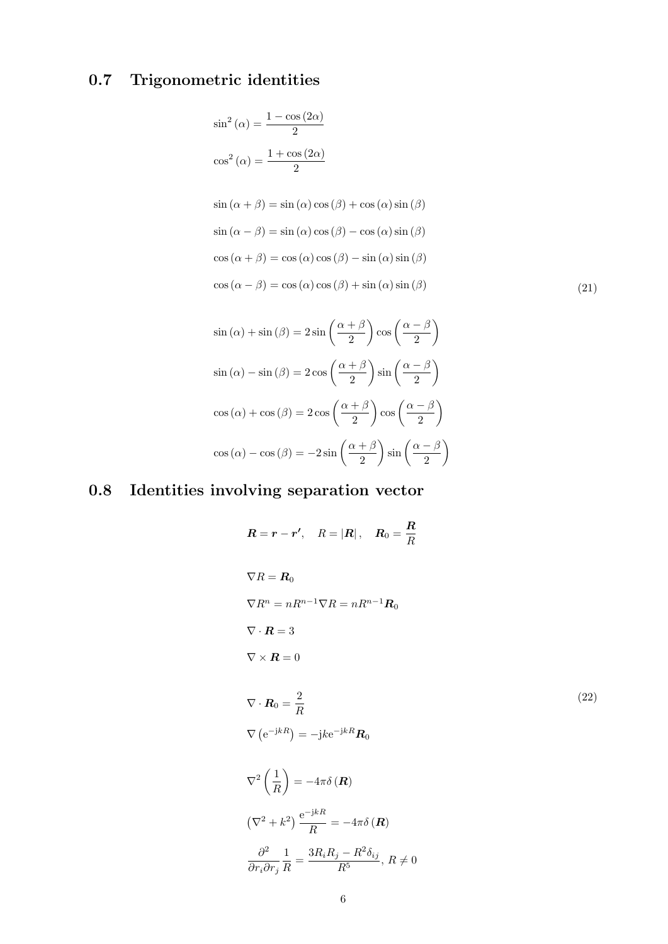# 0.7 Trigonometric identities

$$
\sin^2(\alpha) = \frac{1 - \cos(2\alpha)}{2}
$$

$$
\cos^2(\alpha) = \frac{1 + \cos(2\alpha)}{2}
$$

$$
\sin (\alpha + \beta) = \sin (\alpha) \cos (\beta) + \cos (\alpha) \sin (\beta)
$$
  
\n
$$
\sin (\alpha - \beta) = \sin (\alpha) \cos (\beta) - \cos (\alpha) \sin (\beta)
$$
  
\n
$$
\cos (\alpha + \beta) = \cos (\alpha) \cos (\beta) - \sin (\alpha) \sin (\beta)
$$
  
\n
$$
\cos (\alpha - \beta) = \cos (\alpha) \cos (\beta) + \sin (\alpha) \sin (\beta)
$$
\n(21)

$$
\sin(\alpha) + \sin(\beta) = 2\sin\left(\frac{\alpha+\beta}{2}\right)\cos\left(\frac{\alpha-\beta}{2}\right)
$$

$$
\sin(\alpha) - \sin(\beta) = 2\cos\left(\frac{\alpha+\beta}{2}\right)\sin\left(\frac{\alpha-\beta}{2}\right)
$$

$$
\cos(\alpha) + \cos(\beta) = 2\cos\left(\frac{\alpha+\beta}{2}\right)\cos\left(\frac{\alpha-\beta}{2}\right)
$$

$$
\cos(\alpha) - \cos(\beta) = -2\sin\left(\frac{\alpha+\beta}{2}\right)\sin\left(\frac{\alpha-\beta}{2}\right)
$$

# 0.8 Identities involving separation vector

$$
\mathbf{R} = \mathbf{r} - \mathbf{r}', \quad R = |\mathbf{R}|, \quad \mathbf{R}_0 = \frac{\mathbf{R}}{R}
$$
  
\n
$$
\nabla R = \mathbf{R}_0
$$
  
\n
$$
\nabla R^n = nR^{n-1}\nabla R = nR^{n-1}\mathbf{R}_0
$$
  
\n
$$
\nabla \cdot \mathbf{R} = 3
$$
  
\n
$$
\nabla \times \mathbf{R} = 0
$$
  
\n
$$
\nabla \cdot \mathbf{R}_0 = \frac{2}{R}
$$
  
\n
$$
\nabla (e^{-jkR}) = -jke^{-jkR}\mathbf{R}_0
$$
  
\n
$$
\nabla^2 \left(\frac{1}{R}\right) = -4\pi\delta(\mathbf{R})
$$
  
\n
$$
(\nabla^2 + k^2) \frac{e^{-jkR}}{R} = -4\pi\delta(\mathbf{R})
$$
  
\n
$$
\frac{\partial^2}{\partial r_i \partial r_j} \frac{1}{R} = \frac{3R_iR_j - R^2\delta_{ij}}{R^5}, \quad R \neq 0
$$